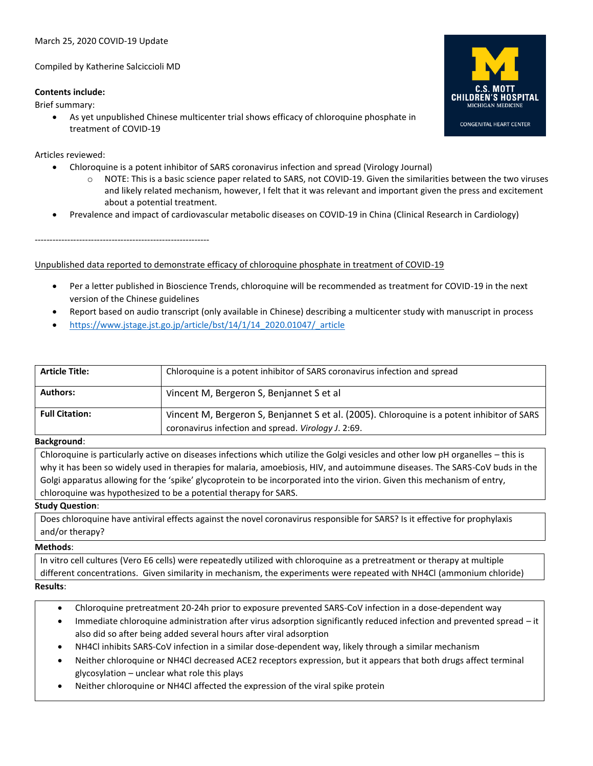# March 25, 2020 COVID-19 Update

Compiled by Katherine Salciccioli MD

# **Contents include:**

Brief summary:

• As yet unpublished Chinese multicenter trial shows efficacy of chloroquine phosphate in treatment of COVID-19



Articles reviewed:

- Chloroquine is a potent inhibitor of SARS coronavirus infection and spread (Virology Journal)
	- $\circ$  NOTE: This is a basic science paper related to SARS, not COVID-19. Given the similarities between the two viruses and likely related mechanism, however, I felt that it was relevant and important given the press and excitement about a potential treatment.
- Prevalence and impact of cardiovascular metabolic diseases on COVID-19 in China (Clinical Research in Cardiology)

-----------------------------------------------------------

Unpublished data reported to demonstrate efficacy of chloroquine phosphate in treatment of COVID-19

- Per a letter published in Bioscience Trends, chloroquine will be recommended as treatment for COVID-19 in the next version of the Chinese guidelines
- Report based on audio transcript (only available in Chinese) describing a multicenter study with manuscript in process
- [https://www.jstage.jst.go.jp/article/bst/14/1/14\\_2020.01047/\\_article](https://www.jstage.jst.go.jp/article/bst/14/1/14_2020.01047/_article)

| <b>Article Title:</b> | Chloroquine is a potent inhibitor of SARS coronavirus infection and spread                                                                         |
|-----------------------|----------------------------------------------------------------------------------------------------------------------------------------------------|
| <b>Authors:</b>       | Vincent M, Bergeron S, Benjannet S et al                                                                                                           |
| <b>Full Citation:</b> | Vincent M, Bergeron S, Benjannet S et al. (2005). Chloroquine is a potent inhibitor of SARS<br>coronavirus infection and spread. Virology J. 2:69. |

### **Background**:

Chloroquine is particularly active on diseases infections which utilize the Golgi vesicles and other low pH organelles – this is why it has been so widely used in therapies for malaria, amoebiosis, HIV, and autoimmune diseases. The SARS-CoV buds in the Golgi apparatus allowing for the 'spike' glycoprotein to be incorporated into the virion. Given this mechanism of entry, chloroquine was hypothesized to be a potential therapy for SARS.

### **Study Question**:

Does chloroquine have antiviral effects against the novel coronavirus responsible for SARS? Is it effective for prophylaxis and/or therapy?

### **Methods**:

In vitro cell cultures (Vero E6 cells) were repeatedly utilized with chloroquine as a pretreatment or therapy at multiple different concentrations. Given similarity in mechanism, the experiments were repeated with NH4Cl (ammonium chloride) **Results**:

- Chloroquine pretreatment 20-24h prior to exposure prevented SARS-CoV infection in a dose-dependent way
- Immediate chloroquine administration after virus adsorption significantly reduced infection and prevented spread it also did so after being added several hours after viral adsorption
- NH4Cl inhibits SARS-CoV infection in a similar dose-dependent way, likely through a similar mechanism
- Neither chloroquine or NH4Cl decreased ACE2 receptors expression, but it appears that both drugs affect terminal glycosylation – unclear what role this plays
- Neither chloroquine or NH4Cl affected the expression of the viral spike protein